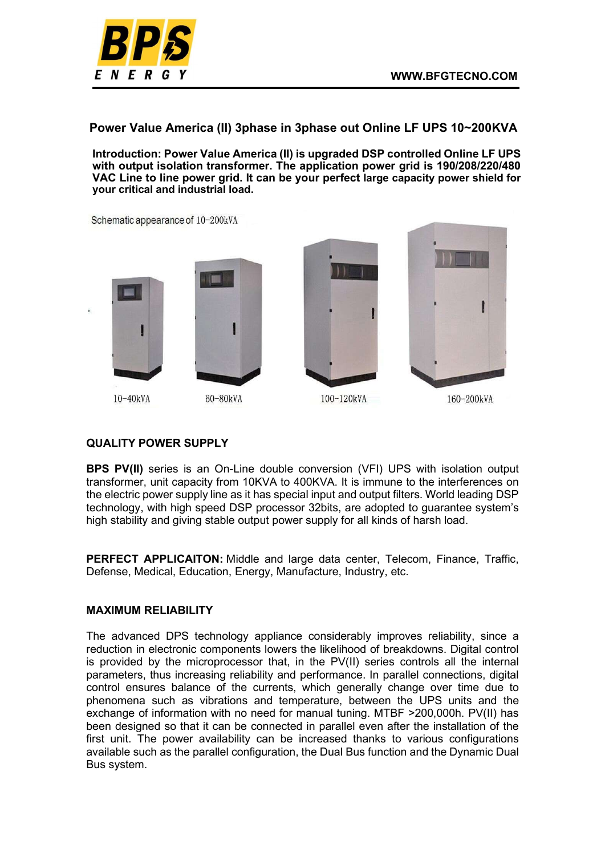

Power Value America (II) 3phase in 3phase out Online LF UPS 10~200KVA

Introduction: Power Value America (II) is upgraded DSP controlled Online LF UPS with output isolation transformer. The application power grid is 190/208/220/480 VAC Line to line power grid. It can be your perfect large capacity power shield for your critical and industrial load.

Schematic appearance of 10-200kVA



10-40kVA





100-120kVA



160-200kVA

### QUALITY POWER SUPPLY

BPS PV(II) series is an On-Line double conversion (VFI) UPS with isolation output transformer, unit capacity from 10KVA to 400KVA. It is immune to the interferences on the electric power supply line as it has special input and output filters. World leading DSP technology, with high speed DSP processor 32bits, are adopted to guarantee system's high stability and giving stable output power supply for all kinds of harsh load.

PERFECT APPLICAITON: Middle and large data center, Telecom, Finance, Traffic, Defense, Medical, Education, Energy, Manufacture, Industry, etc.

#### MAXIMUM RELIABILITY

The advanced DPS technology appliance considerably improves reliability, since a reduction in electronic components lowers the likelihood of breakdowns. Digital control is provided by the microprocessor that, in the PV(II) series controls all the internal parameters, thus increasing reliability and performance. In parallel connections, digital control ensures balance of the currents, which generally change over time due to phenomena such as vibrations and temperature, between the UPS units and the exchange of information with no need for manual tuning. MTBF >200,000h. PV(II) has been designed so that it can be connected in parallel even after the installation of the first unit. The power availability can be increased thanks to various configurations available such as the parallel configuration, the Dual Bus function and the Dynamic Dual Bus system.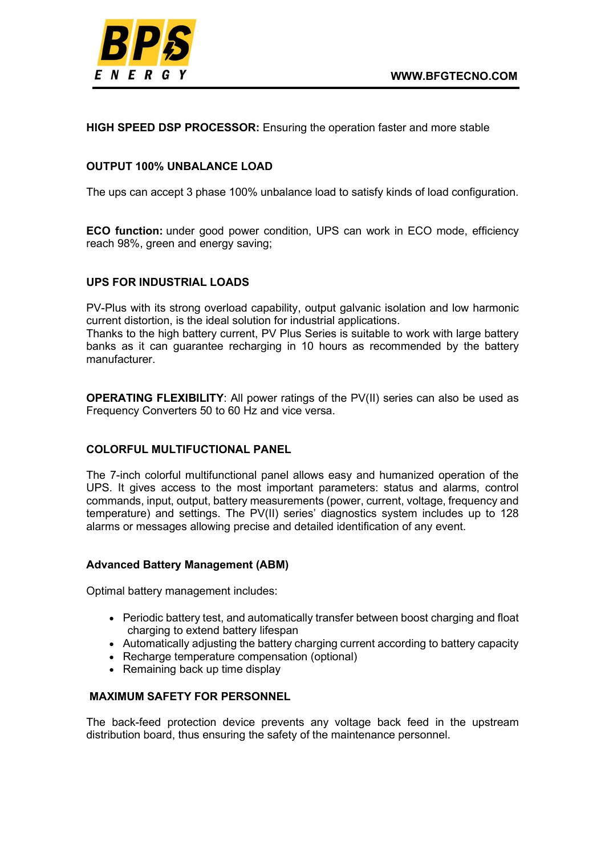HIGH SPEED DSP PROCESSOR: Ensuring the operation faster and more stable

# OUTPUT 100% UNBALANCE LOAD

The ups can accept 3 phase 100% unbalance load to satisfy kinds of load configuration.

ECO function: under good power condition, UPS can work in ECO mode, efficiency reach 98%, green and energy saving;

# UPS FOR INDUSTRIAL LOADS

PV-Plus with its strong overload capability, output galvanic isolation and low harmonic current distortion, is the ideal solution for industrial applications.

Thanks to the high battery current, PV Plus Series is suitable to work with large battery banks as it can guarantee recharging in 10 hours as recommended by the battery manufacturer.

OPERATING FLEXIBILITY: All power ratings of the PV(II) series can also be used as Frequency Converters 50 to 60 Hz and vice versa.

### COLORFUL MULTIFUCTIONAL PANEL

The 7-inch colorful multifunctional panel allows easy and humanized operation of the UPS. It gives access to the most important parameters: status and alarms, control commands, input, output, battery measurements (power, current, voltage, frequency and temperature) and settings. The PV(II) series' diagnostics system includes up to 128 alarms or messages allowing precise and detailed identification of any event.

### Advanced Battery Management (ABM)

Optimal battery management includes:

- Periodic battery test, and automatically transfer between boost charging and float charging to extend battery lifespan
- Automatically adjusting the battery charging current according to battery capacity
- Recharge temperature compensation (optional)
- Remaining back up time display

# MAXIMUM SAFETY FOR PERSONNEL

The back-feed protection device prevents any voltage back feed in the upstream distribution board, thus ensuring the safety of the maintenance personnel.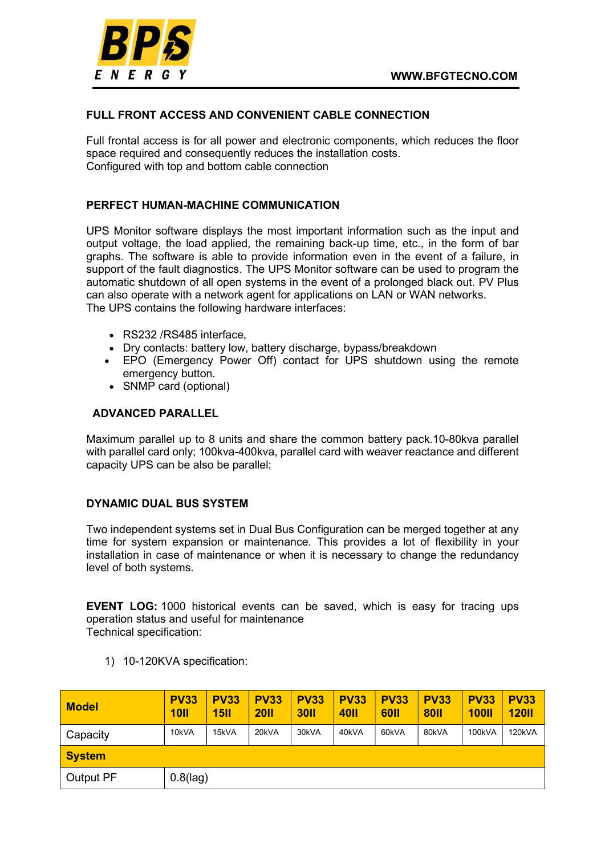

## FULL FRONT ACCESS AND CONVENIENT CABLE CONNECTION

Full frontal access is for all power and electronic components, which reduces the floor space required and consequently reduces the installation costs. Configured with top and bottom cable connection

### PERFECT HUMAN-MACHINE COMMUNICATION

UPS Monitor software displays the most important information such as the input and output voltage, the load applied, the remaining back-up time, etc., in the form of bar graphs. The software is able to provide information even in the event of a failure, in support of the fault diagnostics. The UPS Monitor software can be used to program the automatic shutdown of all open systems in the event of a prolonged black out. PV Plus can also operate with a network agent for applications on LAN or WAN networks. The UPS contains the following hardware interfaces:

- RS232 /RS485 interface,
- Dry contacts: battery low, battery discharge, bypass/breakdown
- EPO (Emergency Power Off) contact for UPS shutdown using the remote emergency button.
- SNMP card (optional)

### ADVANCED PARALLEL

Maximum parallel up to 8 units and share the common battery pack.10-80kva parallel with parallel card only; 100kva-400kva, parallel card with weaver reactance and different capacity UPS can be also be parallel;

### DYNAMIC DUAL BUS SYSTEM

Two independent systems set in Dual Bus Configuration can be merged together at any time for system expansion or maintenance. This provides a lot of flexibility in your installation in case of maintenance or when it is necessary to change the redundancy level of both systems.

EVENT LOG: 1000 historical events can be saved, which is easy for tracing ups operation status and useful for maintenance

Technical specification:

1) 10-120KVA specification:

| <b>Model</b>     | <b>PV33</b><br><b>10II</b> | <b>PV33</b><br><b>15II</b> | <b>PV33</b><br><b>20II</b> | <b>PV33</b><br><b>30II</b> | <b>PV33</b><br><b>40II</b> | <b>PV33</b><br><b>60II</b> | <b>PV33</b><br><b>80II</b> | <b>PV33</b><br><b>100II</b> | <b>PV33</b><br><b>120II</b> |  |  |  |
|------------------|----------------------------|----------------------------|----------------------------|----------------------------|----------------------------|----------------------------|----------------------------|-----------------------------|-----------------------------|--|--|--|
| Capacity         | 10kVA                      | 15kVA                      | 20kVA                      | 30kVA                      | 40kVA                      | 60kVA                      | 80kVA                      | 100kVA                      | 120kVA                      |  |  |  |
| <b>System</b>    |                            |                            |                            |                            |                            |                            |                            |                             |                             |  |  |  |
| <b>Output PF</b> |                            | $0.8$ (lag)                |                            |                            |                            |                            |                            |                             |                             |  |  |  |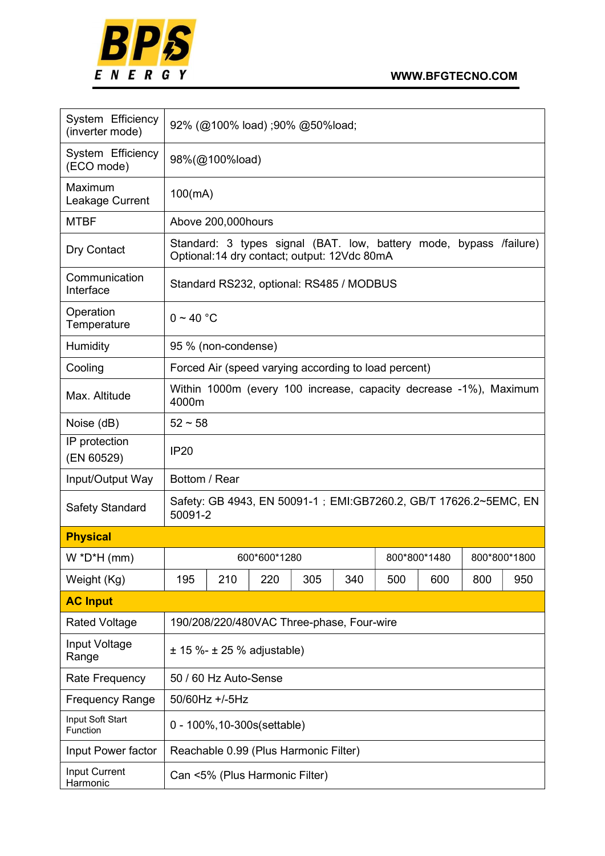

| System Efficiency<br>(inverter mode) | 92% (@100% load);90% @50%load;                                                                                    |                                          |                                |                                           |     |     |              |     |              |  |
|--------------------------------------|-------------------------------------------------------------------------------------------------------------------|------------------------------------------|--------------------------------|-------------------------------------------|-----|-----|--------------|-----|--------------|--|
| System Efficiency<br>(ECO mode)      |                                                                                                                   | 98%(@100%load)                           |                                |                                           |     |     |              |     |              |  |
| Maximum<br>Leakage Current           |                                                                                                                   | 100(mA)                                  |                                |                                           |     |     |              |     |              |  |
| <b>MTBF</b>                          |                                                                                                                   | Above 200,000 hours                      |                                |                                           |     |     |              |     |              |  |
| Dry Contact                          | Standard: 3 types signal (BAT. low, battery mode, bypass /failure)<br>Optional:14 dry contact; output: 12Vdc 80mA |                                          |                                |                                           |     |     |              |     |              |  |
| Communication<br>Interface           |                                                                                                                   | Standard RS232, optional: RS485 / MODBUS |                                |                                           |     |     |              |     |              |  |
| Operation<br>Temperature             |                                                                                                                   | $0 \sim 40$ °C                           |                                |                                           |     |     |              |     |              |  |
| Humidity                             |                                                                                                                   | 95 % (non-condense)                      |                                |                                           |     |     |              |     |              |  |
| Cooling                              | Forced Air (speed varying according to load percent)                                                              |                                          |                                |                                           |     |     |              |     |              |  |
| Max. Altitude                        | Within 1000m (every 100 increase, capacity decrease -1%), Maximum<br>4000m                                        |                                          |                                |                                           |     |     |              |     |              |  |
| Noise (dB)                           | $52 \sim 58$                                                                                                      |                                          |                                |                                           |     |     |              |     |              |  |
| IP protection<br>(EN 60529)          | <b>IP20</b>                                                                                                       |                                          |                                |                                           |     |     |              |     |              |  |
| Input/Output Way                     | Bottom / Rear                                                                                                     |                                          |                                |                                           |     |     |              |     |              |  |
| Safety Standard                      | Safety: GB 4943, EN 50091-1 ; EMI: GB7260.2, GB/T 17626.2~5EMC, EN<br>50091-2                                     |                                          |                                |                                           |     |     |              |     |              |  |
| <b>Physical</b>                      |                                                                                                                   |                                          |                                |                                           |     |     |              |     |              |  |
| $W^*D^*H$ (mm)                       |                                                                                                                   |                                          | 600*600*1280                   |                                           |     |     | 800*800*1480 |     | 800*800*1800 |  |
| Weight (Kg)                          | 195                                                                                                               | 210                                      | 220                            | 305                                       | 340 | 500 | 600          | 800 | 950          |  |
| <b>AC Input</b>                      |                                                                                                                   |                                          |                                |                                           |     |     |              |     |              |  |
| <b>Rated Voltage</b>                 |                                                                                                                   |                                          |                                | 190/208/220/480VAC Three-phase, Four-wire |     |     |              |     |              |  |
| Input Voltage<br>Range               |                                                                                                                   |                                          | $± 15 \% - ± 25 %$ adjustable) |                                           |     |     |              |     |              |  |
| Rate Frequency                       |                                                                                                                   | 50 / 60 Hz Auto-Sense                    |                                |                                           |     |     |              |     |              |  |
| <b>Frequency Range</b>               |                                                                                                                   | 50/60Hz +/-5Hz                           |                                |                                           |     |     |              |     |              |  |
| Input Soft Start<br>Function         |                                                                                                                   | 0 - 100%, 10-300s (settable)             |                                |                                           |     |     |              |     |              |  |
| Input Power factor                   |                                                                                                                   |                                          |                                | Reachable 0.99 (Plus Harmonic Filter)     |     |     |              |     |              |  |
| Input Current<br>Harmonic            |                                                                                                                   |                                          | Can <5% (Plus Harmonic Filter) |                                           |     |     |              |     |              |  |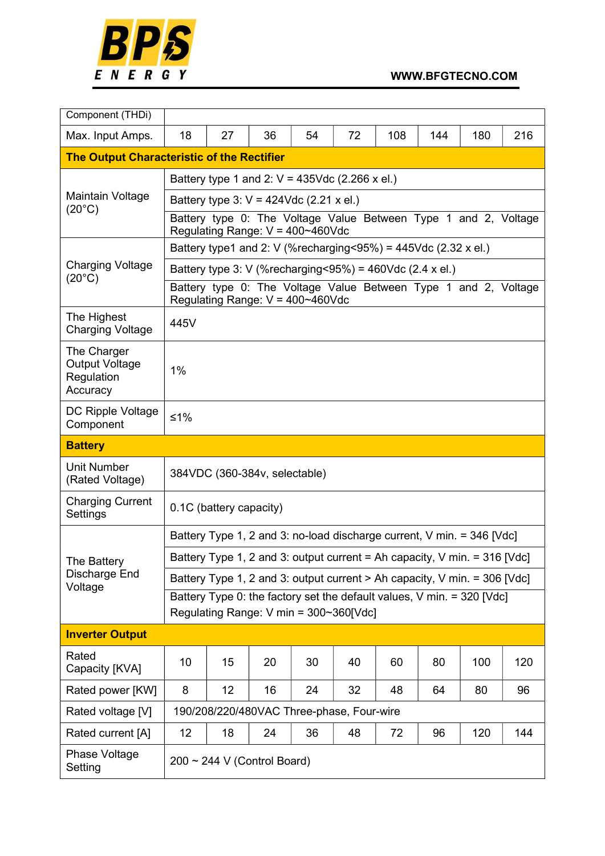

| Component (THDi)                                               |                                                                                                          |                                                                                                          |    |                                                                           |    |     |     |     |     |  |  |
|----------------------------------------------------------------|----------------------------------------------------------------------------------------------------------|----------------------------------------------------------------------------------------------------------|----|---------------------------------------------------------------------------|----|-----|-----|-----|-----|--|--|
| Max. Input Amps.                                               | 18                                                                                                       | 27                                                                                                       | 36 | 54                                                                        | 72 | 108 | 144 | 180 | 216 |  |  |
| <b>The Output Characteristic of the Rectifier</b>              |                                                                                                          |                                                                                                          |    |                                                                           |    |     |     |     |     |  |  |
|                                                                | Battery type 1 and 2: $V = 435$ Vdc (2.266 x el.)                                                        |                                                                                                          |    |                                                                           |    |     |     |     |     |  |  |
| Maintain Voltage<br>$(20^{\circ}C)$                            | Battery type 3: $V = 424$ Vdc (2.21 x el.)                                                               |                                                                                                          |    |                                                                           |    |     |     |     |     |  |  |
|                                                                | Battery type 0: The Voltage Value Between Type 1 and 2, Voltage<br>Regulating Range: $V = 400 - 460V$ dc |                                                                                                          |    |                                                                           |    |     |     |     |     |  |  |
|                                                                | Battery type1 and 2: V (%recharging<95%) = $445$ Vdc (2.32 x el.)                                        |                                                                                                          |    |                                                                           |    |     |     |     |     |  |  |
| <b>Charging Voltage</b><br>$(20^{\circ}C)$                     | Battery type 3: V (%recharging<95%) = 460Vdc (2.4 x el.)                                                 |                                                                                                          |    |                                                                           |    |     |     |     |     |  |  |
|                                                                |                                                                                                          | Battery type 0: The Voltage Value Between Type 1 and 2, Voltage<br>Regulating Range: $V = 400 - 460V$ dc |    |                                                                           |    |     |     |     |     |  |  |
| The Highest<br><b>Charging Voltage</b>                         | 445V                                                                                                     |                                                                                                          |    |                                                                           |    |     |     |     |     |  |  |
| The Charger<br><b>Output Voltage</b><br>Regulation<br>Accuracy | 1%                                                                                                       |                                                                                                          |    |                                                                           |    |     |     |     |     |  |  |
| DC Ripple Voltage<br>Component                                 | $≤1%$                                                                                                    |                                                                                                          |    |                                                                           |    |     |     |     |     |  |  |
| <b>Battery</b>                                                 |                                                                                                          |                                                                                                          |    |                                                                           |    |     |     |     |     |  |  |
| <b>Unit Number</b><br>(Rated Voltage)                          | 384VDC (360-384v, selectable)                                                                            |                                                                                                          |    |                                                                           |    |     |     |     |     |  |  |
| <b>Charging Current</b><br>Settings                            |                                                                                                          | 0.1C (battery capacity)                                                                                  |    |                                                                           |    |     |     |     |     |  |  |
|                                                                | Battery Type 1, 2 and 3: no-load discharge current, V min. = 346 [Vdc]                                   |                                                                                                          |    |                                                                           |    |     |     |     |     |  |  |
| The Battery                                                    |                                                                                                          |                                                                                                          |    | Battery Type 1, 2 and 3: output current = Ah capacity, V min. = 316 [Vdc] |    |     |     |     |     |  |  |
| Discharge End<br>Voltage                                       |                                                                                                          |                                                                                                          |    | Battery Type 1, 2 and 3: output current > Ah capacity, V min. = 306 [Vdc] |    |     |     |     |     |  |  |
|                                                                |                                                                                                          |                                                                                                          |    | Battery Type 0: the factory set the default values, V min. = 320 [Vdc]    |    |     |     |     |     |  |  |
|                                                                |                                                                                                          |                                                                                                          |    | Regulating Range: V min = 300~360[Vdc]                                    |    |     |     |     |     |  |  |
| <b>Inverter Output</b>                                         |                                                                                                          |                                                                                                          |    |                                                                           |    |     |     |     |     |  |  |
| Rated<br>Capacity [KVA]                                        | 10                                                                                                       | 15                                                                                                       | 20 | 30                                                                        | 40 | 60  | 80  | 100 | 120 |  |  |
| Rated power [KW]                                               | 8                                                                                                        | 12                                                                                                       | 16 | 24                                                                        | 32 | 48  | 64  | 80  | 96  |  |  |
| Rated voltage [V]                                              |                                                                                                          |                                                                                                          |    | 190/208/220/480VAC Three-phase, Four-wire                                 |    |     |     |     |     |  |  |
| Rated current [A]                                              | 12                                                                                                       | 18                                                                                                       | 24 | 36                                                                        | 48 | 72  | 96  | 120 | 144 |  |  |
| Phase Voltage<br>Setting                                       |                                                                                                          | $200 \sim 244$ V (Control Board)                                                                         |    |                                                                           |    |     |     |     |     |  |  |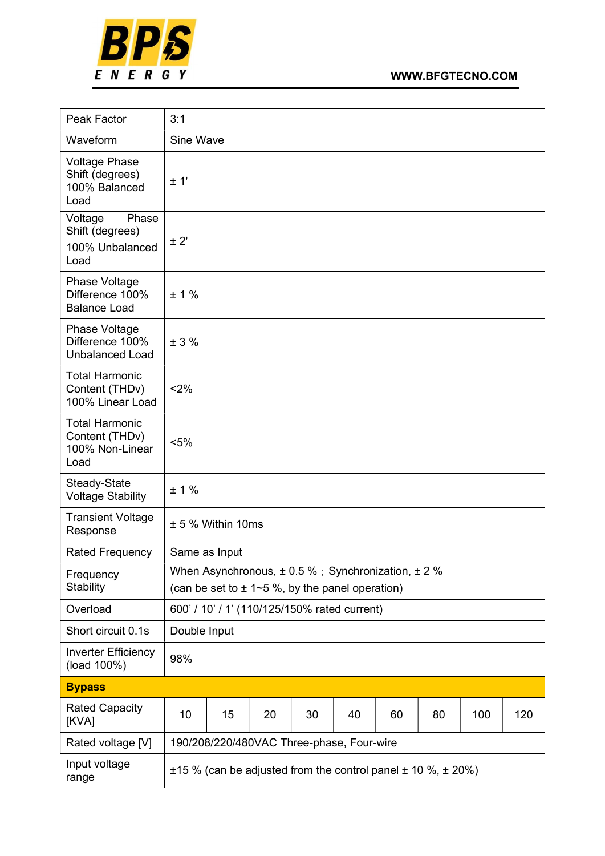

| Peak Factor                                                        | 3:1           |                                           |                                                                                                                   |    |    |    |    |     |     |  |  |
|--------------------------------------------------------------------|---------------|-------------------------------------------|-------------------------------------------------------------------------------------------------------------------|----|----|----|----|-----|-----|--|--|
| Waveform                                                           | Sine Wave     |                                           |                                                                                                                   |    |    |    |    |     |     |  |  |
| <b>Voltage Phase</b><br>Shift (degrees)<br>100% Balanced<br>Load   | ± 1'          |                                           |                                                                                                                   |    |    |    |    |     |     |  |  |
| Phase<br>Voltage<br>Shift (degrees)<br>100% Unbalanced<br>Load     | ± 2'          |                                           |                                                                                                                   |    |    |    |    |     |     |  |  |
| <b>Phase Voltage</b><br>Difference 100%<br><b>Balance Load</b>     | ± 1%          |                                           |                                                                                                                   |    |    |    |    |     |     |  |  |
| Phase Voltage<br>Difference 100%<br><b>Unbalanced Load</b>         | ± 3%          |                                           |                                                                                                                   |    |    |    |    |     |     |  |  |
| <b>Total Harmonic</b><br>Content (THDv)<br>100% Linear Load        | < 2%          |                                           |                                                                                                                   |    |    |    |    |     |     |  |  |
| <b>Total Harmonic</b><br>Content (THDv)<br>100% Non-Linear<br>Load | $< 5\%$       |                                           |                                                                                                                   |    |    |    |    |     |     |  |  |
| Steady-State<br><b>Voltage Stability</b>                           | ± 1%          |                                           |                                                                                                                   |    |    |    |    |     |     |  |  |
| <b>Transient Voltage</b><br>Response                               |               | $± 5$ % Within 10ms                       |                                                                                                                   |    |    |    |    |     |     |  |  |
| <b>Rated Frequency</b>                                             | Same as Input |                                           |                                                                                                                   |    |    |    |    |     |     |  |  |
| Frequency<br><b>Stability</b>                                      |               |                                           | When Asynchronous, $\pm 0.5$ %; Synchronization, $\pm 2$ %<br>(can be set to $\pm$ 1~5 %, by the panel operation) |    |    |    |    |     |     |  |  |
| Overload                                                           |               |                                           | 600' / 10' / 1' (110/125/150% rated current)                                                                      |    |    |    |    |     |     |  |  |
| Short circuit 0.1s                                                 | Double Input  |                                           |                                                                                                                   |    |    |    |    |     |     |  |  |
| <b>Inverter Efficiency</b><br>(load 100%)                          | 98%           |                                           |                                                                                                                   |    |    |    |    |     |     |  |  |
| <b>Bypass</b>                                                      |               |                                           |                                                                                                                   |    |    |    |    |     |     |  |  |
| <b>Rated Capacity</b><br>[KVA]                                     | 10            | 15                                        | 20                                                                                                                | 30 | 40 | 60 | 80 | 100 | 120 |  |  |
| Rated voltage [V]                                                  |               | 190/208/220/480VAC Three-phase, Four-wire |                                                                                                                   |    |    |    |    |     |     |  |  |
| Input voltage<br>range                                             |               |                                           | $\pm$ 15 % (can be adjusted from the control panel $\pm$ 10 %, $\pm$ 20%)                                         |    |    |    |    |     |     |  |  |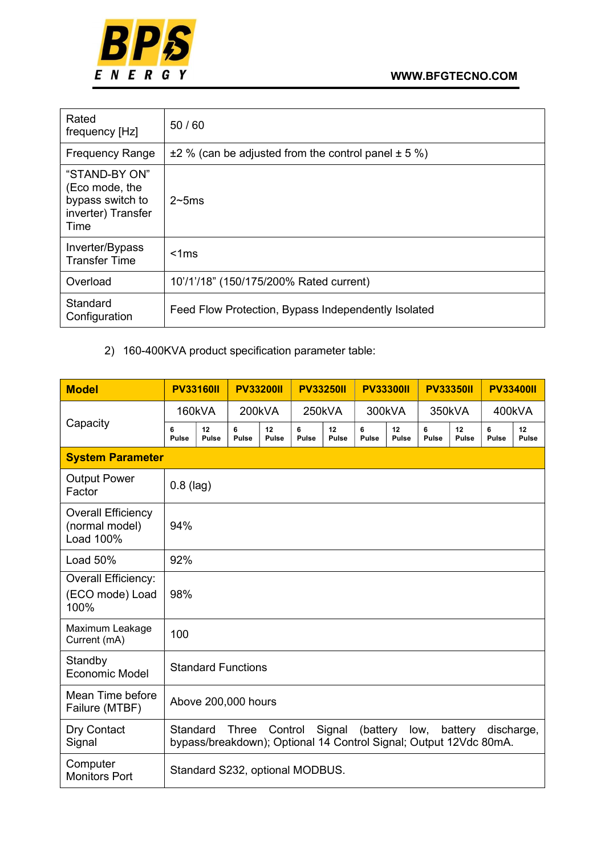

| Rated<br>frequency [Hz]                                                           | 50/60                                                        |
|-----------------------------------------------------------------------------------|--------------------------------------------------------------|
| <b>Frequency Range</b>                                                            | $\pm$ 2 % (can be adjusted from the control panel $\pm$ 5 %) |
| "STAND-BY ON"<br>(Eco mode, the<br>bypass switch to<br>inverter) Transfer<br>Time | $2\neg 5ms$                                                  |
| Inverter/Bypass<br><b>Transfer Time</b>                                           | $<$ 1 $ms$                                                   |
| Overload                                                                          | 10'/1'/18" (150/175/200% Rated current)                      |
| Standard<br>Configuration                                                         | Feed Flow Protection, Bypass Independently Isolated          |

# 2) 160-400KVA product specification parameter table:

| <b>Model</b>                                             | <b>PV33160II</b>  |                                                                                                                                                                 | <b>PV33200II</b>                |                    | <b>PV33250II</b>  | <b>PV33300II</b>   |                   | <b>PV33350II</b>   |                   | <b>PV33400II</b>   |                   |                    |  |
|----------------------------------------------------------|-------------------|-----------------------------------------------------------------------------------------------------------------------------------------------------------------|---------------------------------|--------------------|-------------------|--------------------|-------------------|--------------------|-------------------|--------------------|-------------------|--------------------|--|
|                                                          | 160kVA            |                                                                                                                                                                 | 200kVA                          |                    |                   | 250kVA             |                   | 300kVA             |                   | 350kVA             |                   | 400kVA             |  |
| Capacity                                                 | 6<br><b>Pulse</b> | 12<br><b>Pulse</b>                                                                                                                                              | 6<br><b>Pulse</b>               | 12<br><b>Pulse</b> | 6<br><b>Pulse</b> | 12<br><b>Pulse</b> | 6<br><b>Pulse</b> | 12<br><b>Pulse</b> | 6<br><b>Pulse</b> | 12<br><b>Pulse</b> | 6<br><b>Pulse</b> | 12<br><b>Pulse</b> |  |
| <b>System Parameter</b>                                  |                   |                                                                                                                                                                 |                                 |                    |                   |                    |                   |                    |                   |                    |                   |                    |  |
| <b>Output Power</b><br>Factor                            |                   | $0.8$ (lag)                                                                                                                                                     |                                 |                    |                   |                    |                   |                    |                   |                    |                   |                    |  |
| <b>Overall Efficiency</b><br>(normal model)<br>Load 100% | 94%               |                                                                                                                                                                 |                                 |                    |                   |                    |                   |                    |                   |                    |                   |                    |  |
| Load 50%                                                 | 92%               |                                                                                                                                                                 |                                 |                    |                   |                    |                   |                    |                   |                    |                   |                    |  |
| <b>Overall Efficiency:</b><br>(ECO mode) Load<br>100%    | 98%               |                                                                                                                                                                 |                                 |                    |                   |                    |                   |                    |                   |                    |                   |                    |  |
| Maximum Leakage<br>Current (mA)                          | 100               |                                                                                                                                                                 |                                 |                    |                   |                    |                   |                    |                   |                    |                   |                    |  |
| Standby<br><b>Economic Model</b>                         |                   |                                                                                                                                                                 | <b>Standard Functions</b>       |                    |                   |                    |                   |                    |                   |                    |                   |                    |  |
| Mean Time before<br>Failure (MTBF)                       |                   |                                                                                                                                                                 | Above 200,000 hours             |                    |                   |                    |                   |                    |                   |                    |                   |                    |  |
| Dry Contact<br>Signal                                    |                   | (battery<br>Standard<br><b>Three</b><br>Control<br>Signal<br>low,<br>battery<br>discharge,<br>bypass/breakdown); Optional 14 Control Signal; Output 12Vdc 80mA. |                                 |                    |                   |                    |                   |                    |                   |                    |                   |                    |  |
| Computer<br><b>Monitors Port</b>                         |                   |                                                                                                                                                                 | Standard S232, optional MODBUS. |                    |                   |                    |                   |                    |                   |                    |                   |                    |  |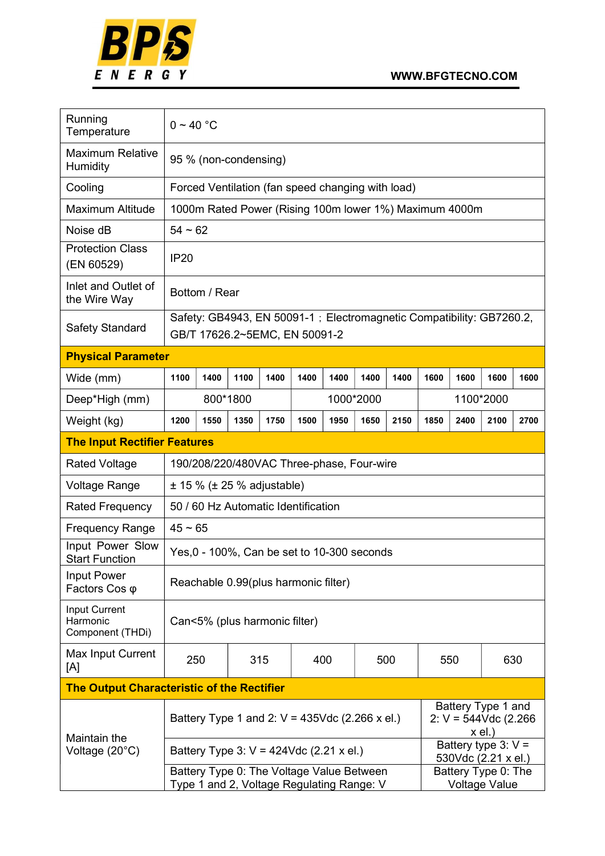

| Running<br>Temperature                            | $0 - 40 °C$                                                                                            |                                                        |      |                                                                                        |      |      |           |      |           |                                               |          |      |
|---------------------------------------------------|--------------------------------------------------------------------------------------------------------|--------------------------------------------------------|------|----------------------------------------------------------------------------------------|------|------|-----------|------|-----------|-----------------------------------------------|----------|------|
| <b>Maximum Relative</b><br>Humidity               |                                                                                                        | 95 % (non-condensing)                                  |      |                                                                                        |      |      |           |      |           |                                               |          |      |
| Cooling                                           |                                                                                                        | Forced Ventilation (fan speed changing with load)      |      |                                                                                        |      |      |           |      |           |                                               |          |      |
| <b>Maximum Altitude</b>                           |                                                                                                        | 1000m Rated Power (Rising 100m lower 1%) Maximum 4000m |      |                                                                                        |      |      |           |      |           |                                               |          |      |
| Noise dB                                          |                                                                                                        | $54 - 62$                                              |      |                                                                                        |      |      |           |      |           |                                               |          |      |
| <b>Protection Class</b><br>(EN 60529)             | <b>IP20</b>                                                                                            |                                                        |      |                                                                                        |      |      |           |      |           |                                               |          |      |
| Inlet and Outlet of<br>the Wire Way               |                                                                                                        | Bottom / Rear                                          |      |                                                                                        |      |      |           |      |           |                                               |          |      |
| Safety Standard                                   | Safety: GB4943, EN 50091-1 ; Electromagnetic Compatibility: GB7260.2,<br>GB/T 17626.2~5EMC, EN 50091-2 |                                                        |      |                                                                                        |      |      |           |      |           |                                               |          |      |
| <b>Physical Parameter</b>                         |                                                                                                        |                                                        |      |                                                                                        |      |      |           |      |           |                                               |          |      |
| Wide (mm)                                         | 1100                                                                                                   | 1400                                                   | 1100 | 1400                                                                                   | 1400 | 1400 | 1400      | 1400 | 1600      | 1600                                          | 1600     | 1600 |
| Deep*High (mm)                                    |                                                                                                        | 800*1800                                               |      |                                                                                        |      |      | 1000*2000 |      | 1100*2000 |                                               |          |      |
| Weight (kg)                                       | 1200                                                                                                   | 1550                                                   | 1350 | 1750                                                                                   | 1500 | 1950 | 1650      | 2150 | 1850      | 2400                                          | 2100     | 2700 |
| <b>The Input Rectifier Features</b>               |                                                                                                        |                                                        |      |                                                                                        |      |      |           |      |           |                                               |          |      |
| <b>Rated Voltage</b>                              | 190/208/220/480VAC Three-phase, Four-wire                                                              |                                                        |      |                                                                                        |      |      |           |      |           |                                               |          |      |
| <b>Voltage Range</b>                              | $± 15 \% (± 25 %$ adjustable)                                                                          |                                                        |      |                                                                                        |      |      |           |      |           |                                               |          |      |
| <b>Rated Frequency</b>                            | 50 / 60 Hz Automatic Identification                                                                    |                                                        |      |                                                                                        |      |      |           |      |           |                                               |          |      |
| <b>Frequency Range</b>                            | $45 \sim 65$                                                                                           |                                                        |      |                                                                                        |      |      |           |      |           |                                               |          |      |
| Input Power Slow<br><b>Start Function</b>         |                                                                                                        |                                                        |      | Yes, 0 - 100%, Can be set to 10-300 seconds                                            |      |      |           |      |           |                                               |          |      |
| <b>Input Power</b><br>Factors Cos φ               |                                                                                                        |                                                        |      | Reachable 0.99(plus harmonic filter)                                                   |      |      |           |      |           |                                               |          |      |
| Input Current<br>Harmonic<br>Component (THDi)     |                                                                                                        |                                                        |      | Can<5% (plus harmonic filter)                                                          |      |      |           |      |           |                                               |          |      |
| Max Input Current<br>[A]                          | 250                                                                                                    |                                                        |      | 315                                                                                    |      | 400  |           | 500  |           | 550                                           |          | 630  |
| <b>The Output Characteristic of the Rectifier</b> |                                                                                                        |                                                        |      |                                                                                        |      |      |           |      |           |                                               |          |      |
|                                                   |                                                                                                        |                                                        |      | Battery Type 1 and 2: $V = 435$ Vdc (2.266 x el.)                                      |      |      |           |      |           | Battery Type 1 and<br>2: $V = 544Vdc$ (2.266) | $x$ el.) |      |
| Maintain the<br>Voltage (20°C)                    |                                                                                                        |                                                        |      | Battery Type 3: $V = 424$ Vdc (2.21 x el.)                                             |      |      |           |      |           | Battery type $3: V =$<br>530Vdc (2.21 x el.)  |          |      |
|                                                   |                                                                                                        |                                                        |      | Battery Type 0: The Voltage Value Between<br>Type 1 and 2, Voltage Regulating Range: V |      |      |           |      |           | Battery Type 0: The<br><b>Voltage Value</b>   |          |      |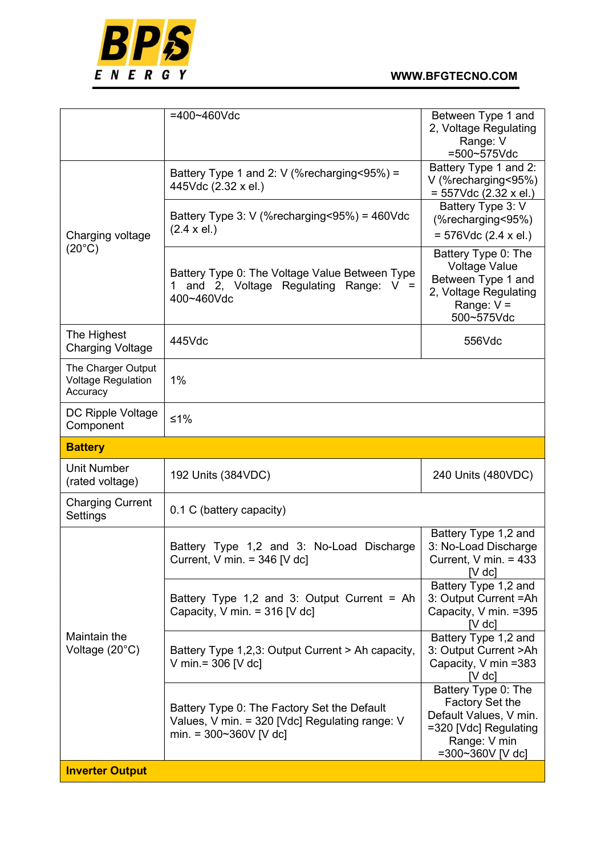

|                                                             | $=400 - 460$ Vdc                                                                                                                  | Between Type 1 and<br>2, Voltage Regulating<br>Range: V<br>=500~575Vdc                                                        |
|-------------------------------------------------------------|-----------------------------------------------------------------------------------------------------------------------------------|-------------------------------------------------------------------------------------------------------------------------------|
|                                                             | Battery Type 1 and 2: $V$ (% recharging < 95%) =<br>445Vdc (2.32 x el.)                                                           | Battery Type 1 and 2:<br>V (%recharging<95%)<br>$= 557$ Vdc (2.32 x el.)                                                      |
| Charging voltage                                            | Battery Type 3: V (%recharging<95%) = $460$ Vdc<br>$(2.4 \times el.)$                                                             | Battery Type 3: V<br>(%recharging<95%)<br>$= 576$ Vdc (2.4 x el.)                                                             |
| $(20^{\circ}C)$                                             | Battery Type 0: The Voltage Value Between Type<br>and 2, Voltage Regulating Range:<br>$V =$<br>400~460Vdc                         | Battery Type 0: The<br><b>Voltage Value</b><br>Between Type 1 and<br>2, Voltage Regulating<br>Range: $V =$<br>500~575Vdc      |
| The Highest<br><b>Charging Voltage</b>                      | 445Vdc                                                                                                                            | 556Vdc                                                                                                                        |
| The Charger Output<br><b>Voltage Regulation</b><br>Accuracy | 1%                                                                                                                                |                                                                                                                               |
| DC Ripple Voltage<br>Component                              | $≤1%$                                                                                                                             |                                                                                                                               |
| <b>Battery</b>                                              |                                                                                                                                   |                                                                                                                               |
| <b>Unit Number</b><br>(rated voltage)                       | 192 Units (384VDC)                                                                                                                | 240 Units (480VDC)                                                                                                            |
| <b>Charging Current</b><br>Settings                         | 0.1 C (battery capacity)                                                                                                          |                                                                                                                               |
|                                                             | Battery Type 1,2 and 3: No-Load Discharge<br>Current, V min. = $346$ [V dc]                                                       | Battery Type 1,2 and<br>3: No-Load Discharge<br>Current, $V$ min. = 433<br>$[V$ dc $]$                                        |
|                                                             | Battery Type 1,2 and 3: Output Current = Ah<br>Capacity, V min. = $316$ [V dc]                                                    | Battery Type 1,2 and<br>3: Output Current = Ah<br>Capacity, V min. = 395<br>$[V$ dc]                                          |
| Maintain the<br>Voltage (20°C)                              | Battery Type 1,2,3: Output Current > Ah capacity,                                                                                 | Battery Type 1,2 and<br>3: Output Current > Ah                                                                                |
|                                                             | V min. = $306$ [V dc]                                                                                                             | Capacity, V min =383<br>$[V$ dc $]$                                                                                           |
|                                                             | Battery Type 0: The Factory Set the Default<br>Values, V min. = 320 [Vdc] Regulating range: V<br>min. = $300 \times 360 V$ [V dc] | Battery Type 0: The<br>Factory Set the<br>Default Values, V min.<br>=320 [Vdc] Regulating<br>Range: V min<br>=300~360V [V dc] |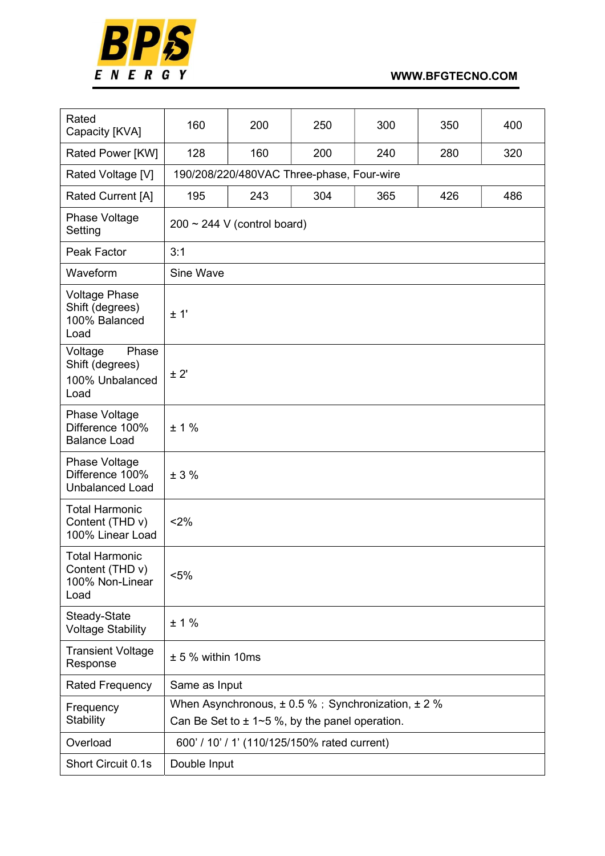

| Rated<br>Capacity [KVA]                                             | 160                                                                                                              | 200                                       | 250 | 300 | 350 | 400 |  |  |  |  |  |  |
|---------------------------------------------------------------------|------------------------------------------------------------------------------------------------------------------|-------------------------------------------|-----|-----|-----|-----|--|--|--|--|--|--|
| Rated Power [KW]                                                    | 128                                                                                                              | 160                                       | 200 | 240 | 280 | 320 |  |  |  |  |  |  |
| Rated Voltage [V]                                                   |                                                                                                                  | 190/208/220/480VAC Three-phase, Four-wire |     |     |     |     |  |  |  |  |  |  |
| Rated Current [A]                                                   | 304<br>426<br>486<br>195<br>243<br>365                                                                           |                                           |     |     |     |     |  |  |  |  |  |  |
| Phase Voltage<br>Setting                                            |                                                                                                                  | $200 \sim 244$ V (control board)          |     |     |     |     |  |  |  |  |  |  |
| Peak Factor                                                         | 3:1                                                                                                              |                                           |     |     |     |     |  |  |  |  |  |  |
| Waveform                                                            | Sine Wave                                                                                                        |                                           |     |     |     |     |  |  |  |  |  |  |
| <b>Voltage Phase</b><br>Shift (degrees)<br>100% Balanced<br>Load    | ± 1'                                                                                                             |                                           |     |     |     |     |  |  |  |  |  |  |
| Voltage<br>Phase<br>Shift (degrees)<br>100% Unbalanced<br>Load      | ± 2'                                                                                                             |                                           |     |     |     |     |  |  |  |  |  |  |
| Phase Voltage<br>Difference 100%<br><b>Balance Load</b>             | ± 1%                                                                                                             |                                           |     |     |     |     |  |  |  |  |  |  |
| Phase Voltage<br>Difference 100%<br><b>Unbalanced Load</b>          | ± 3%                                                                                                             |                                           |     |     |     |     |  |  |  |  |  |  |
| <b>Total Harmonic</b><br>Content (THD v)<br>100% Linear Load        | < 2%                                                                                                             |                                           |     |     |     |     |  |  |  |  |  |  |
| <b>Total Harmonic</b><br>Content (THD v)<br>100% Non-Linear<br>Load | $< 5\%$                                                                                                          |                                           |     |     |     |     |  |  |  |  |  |  |
| Steady-State<br><b>Voltage Stability</b>                            | ± 1%                                                                                                             |                                           |     |     |     |     |  |  |  |  |  |  |
| <b>Transient Voltage</b><br>Response                                | $± 5%$ within 10ms                                                                                               |                                           |     |     |     |     |  |  |  |  |  |  |
| <b>Rated Frequency</b>                                              | Same as Input                                                                                                    |                                           |     |     |     |     |  |  |  |  |  |  |
| Frequency<br>Stability                                              | When Asynchronous, $\pm$ 0.5 %; Synchronization, $\pm$ 2 %<br>Can Be Set to $\pm$ 1~5 %, by the panel operation. |                                           |     |     |     |     |  |  |  |  |  |  |
| Overload                                                            | 600' / 10' / 1' (110/125/150% rated current)                                                                     |                                           |     |     |     |     |  |  |  |  |  |  |
| Short Circuit 0.1s                                                  | Double Input                                                                                                     |                                           |     |     |     |     |  |  |  |  |  |  |